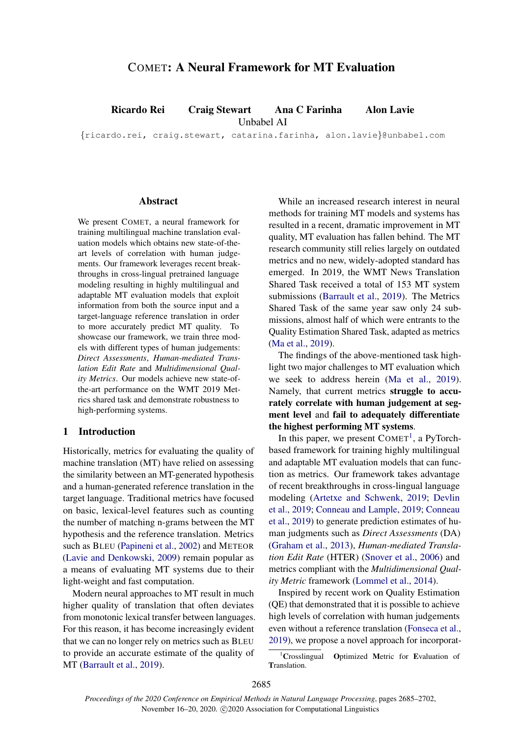# COMET: A Neural Framework for MT Evaluation

Ricardo Rei Craig Stewart Ana C Farinha Alon Lavie

Unbabel AI

{ricardo.rei, craig.stewart, catarina.farinha, alon.lavie}@unbabel.com

#### Abstract

We present COMET, a neural framework for training multilingual machine translation evaluation models which obtains new state-of-theart levels of correlation with human judgements. Our framework leverages recent breakthroughs in cross-lingual pretrained language modeling resulting in highly multilingual and adaptable MT evaluation models that exploit information from both the source input and a target-language reference translation in order to more accurately predict MT quality. To showcase our framework, we train three models with different types of human judgements: *Direct Assessments*, *Human-mediated Translation Edit Rate* and *Multidimensional Quality Metrics*. Our models achieve new state-ofthe-art performance on the WMT 2019 Metrics shared task and demonstrate robustness to high-performing systems.

# 1 Introduction

Historically, metrics for evaluating the quality of machine translation (MT) have relied on assessing the similarity between an MT-generated hypothesis and a human-generated reference translation in the target language. Traditional metrics have focused on basic, lexical-level features such as counting the number of matching n-grams between the MT hypothesis and the reference translation. Metrics such as BLEU [\(Papineni et al.,](#page-10-0) [2002\)](#page-10-0) and METEOR [\(Lavie and Denkowski,](#page-9-0) [2009\)](#page-9-0) remain popular as a means of evaluating MT systems due to their light-weight and fast computation.

Modern neural approaches to MT result in much higher quality of translation that often deviates from monotonic lexical transfer between languages. For this reason, it has become increasingly evident that we can no longer rely on metrics such as BLEU to provide an accurate estimate of the quality of MT [\(Barrault et al.,](#page-8-0) [2019\)](#page-8-0).

While an increased research interest in neural methods for training MT models and systems has resulted in a recent, dramatic improvement in MT quality, MT evaluation has fallen behind. The MT research community still relies largely on outdated metrics and no new, widely-adopted standard has emerged. In 2019, the WMT News Translation Shared Task received a total of 153 MT system submissions [\(Barrault et al.,](#page-8-0) [2019\)](#page-8-0). The Metrics Shared Task of the same year saw only 24 submissions, almost half of which were entrants to the Quality Estimation Shared Task, adapted as metrics [\(Ma et al.,](#page-10-1) [2019\)](#page-10-1).

The findings of the above-mentioned task highlight two major challenges to MT evaluation which we seek to address herein [\(Ma et al.,](#page-10-1) [2019\)](#page-10-1). Namely, that current metrics struggle to accurately correlate with human judgement at segment level and fail to adequately differentiate the highest performing MT systems.

In this paper, we present  $COMET<sup>1</sup>$  $COMET<sup>1</sup>$  $COMET<sup>1</sup>$ , a PyTorchbased framework for training highly multilingual and adaptable MT evaluation models that can function as metrics. Our framework takes advantage of recent breakthroughs in cross-lingual language modeling [\(Artetxe and Schwenk,](#page-8-1) [2019;](#page-8-1) [Devlin](#page-9-1) [et al.,](#page-9-1) [2019;](#page-9-1) [Conneau and Lample,](#page-9-2) [2019;](#page-9-2) [Conneau](#page-8-2) [et al.,](#page-8-2) [2019\)](#page-8-2) to generate prediction estimates of human judgments such as *Direct Assessments* (DA) [\(Graham et al.,](#page-9-3) [2013\)](#page-9-3), *Human-mediated Translation Edit Rate* (HTER) [\(Snover et al.,](#page-11-0) [2006\)](#page-11-0) and metrics compliant with the *Multidimensional Quality Metric* framework [\(Lommel et al.,](#page-9-4) [2014\)](#page-9-4).

Inspired by recent work on Quality Estimation (QE) that demonstrated that it is possible to achieve high levels of correlation with human judgements even without a reference translation [\(Fonseca et al.,](#page-9-5) [2019\)](#page-9-5), we propose a novel approach for incorporat-

<span id="page-0-0"></span><sup>&</sup>lt;sup>1</sup>Crosslingual Optimized Metric for Evaluation of Translation.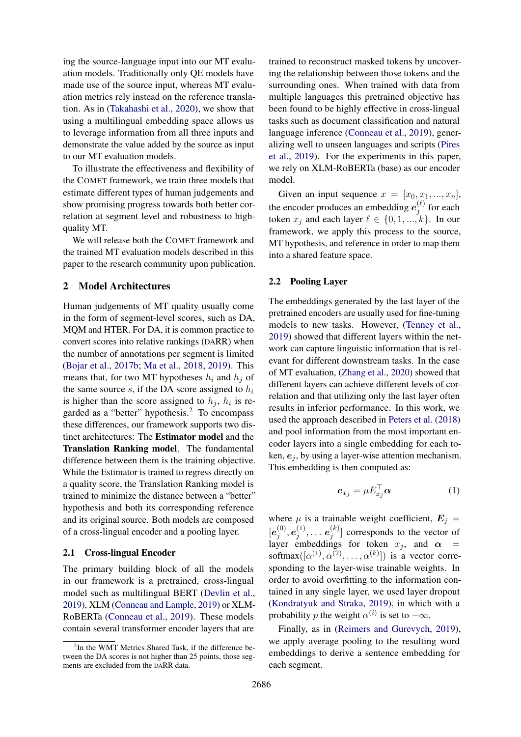ing the source-language input into our MT evaluation models. Traditionally only QE models have made use of the source input, whereas MT evaluation metrics rely instead on the reference translation. As in [\(Takahashi et al.,](#page-11-1) [2020\)](#page-11-1), we show that using a multilingual embedding space allows us to leverage information from all three inputs and demonstrate the value added by the source as input to our MT evaluation models.

To illustrate the effectiveness and flexibility of the COMET framework, we train three models that estimate different types of human judgements and show promising progress towards both better correlation at segment level and robustness to highquality MT.

We will release both the COMET framework and the trained MT evaluation models described in this paper to the research community upon publication.

#### <span id="page-1-1"></span>2 Model Architectures

Human judgements of MT quality usually come in the form of segment-level scores, such as DA, MQM and HTER. For DA, it is common practice to convert scores into relative rankings (DARR) when the number of annotations per segment is limited [\(Bojar et al.,](#page-8-3) [2017b;](#page-8-3) [Ma et al.,](#page-10-2) [2018,](#page-10-2) [2019\)](#page-10-1). This means that, for two MT hypotheses  $h_i$  and  $h_j$  of the same source s, if the DA score assigned to  $h_i$ is higher than the score assigned to  $h_j$ ,  $h_i$  is re-garded as a "better" hypothesis.<sup>[2](#page-1-0)</sup> To encompass these differences, our framework supports two distinct architectures: The Estimator model and the Translation Ranking model. The fundamental difference between them is the training objective. While the Estimator is trained to regress directly on a quality score, the Translation Ranking model is trained to minimize the distance between a "better" hypothesis and both its corresponding reference and its original source. Both models are composed of a cross-lingual encoder and a pooling layer.

# 2.1 Cross-lingual Encoder

The primary building block of all the models in our framework is a pretrained, cross-lingual model such as multilingual BERT [\(Devlin et al.,](#page-9-1) [2019\)](#page-9-1), XLM [\(Conneau and Lample,](#page-9-2) [2019\)](#page-9-2) or XLM-RoBERTa [\(Conneau et al.,](#page-8-2) [2019\)](#page-8-2). These models contain several transformer encoder layers that are trained to reconstruct masked tokens by uncovering the relationship between those tokens and the surrounding ones. When trained with data from multiple languages this pretrained objective has been found to be highly effective in cross-lingual tasks such as document classification and natural language inference [\(Conneau et al.,](#page-8-2) [2019\)](#page-8-2), generalizing well to unseen languages and scripts [\(Pires](#page-10-3) [et al.,](#page-10-3) [2019\)](#page-10-3). For the experiments in this paper, we rely on XLM-RoBERTa (base) as our encoder model.

Given an input sequence  $x = [x_0, x_1, ..., x_n],$ the encoder produces an embedding  $e_i^{(\ell)}$  $j^{(\ell)}$  for each token  $x_j$  and each layer  $\ell \in \{0, 1, ..., k\}$ . In our framework, we apply this process to the source, MT hypothesis, and reference in order to map them into a shared feature space.

# 2.2 Pooling Layer

The embeddings generated by the last layer of the pretrained encoders are usually used for fine-tuning models to new tasks. However, [\(Tenney et al.,](#page-11-2) [2019\)](#page-11-2) showed that different layers within the network can capture linguistic information that is relevant for different downstream tasks. In the case of MT evaluation, [\(Zhang et al.,](#page-11-3) [2020\)](#page-11-3) showed that different layers can achieve different levels of correlation and that utilizing only the last layer often results in inferior performance. In this work, we used the approach described in [Peters et al.](#page-10-4) [\(2018\)](#page-10-4) and pool information from the most important encoder layers into a single embedding for each token,  $e_i$ , by using a layer-wise attention mechanism. This embedding is then computed as:

$$
\boldsymbol{e}_{x_j} = \mu E_{x_j}^\top \boldsymbol{\alpha} \tag{1}
$$

where  $\mu$  is a trainable weight coefficient,  $\mathbf{E}_j =$  $[\bm{e}^{(0)}_i$  $\boldsymbol{e}_j^{(0)}, \boldsymbol{e}_j^{(1)}$  $\epsilon_j^{(1)}, \ldots$   $\boldsymbol{e}_j^{(k)}$  $\binom{k}{j}$  corresponds to the vector of layer embeddings for token  $x_j$ , and  $\alpha$  = softmax $([\alpha^{(1)}, \alpha^{(2)}, \ldots, \alpha^{(k)}])$  is a vector corresponding to the layer-wise trainable weights. In order to avoid overfitting to the information contained in any single layer, we used layer dropout [\(Kondratyuk and Straka,](#page-9-6) [2019\)](#page-9-6), in which with a probability p the weight  $\alpha^{(i)}$  is set to  $-\infty$ .

Finally, as in [\(Reimers and Gurevych,](#page-10-5) [2019\)](#page-10-5), we apply average pooling to the resulting word embeddings to derive a sentence embedding for each segment.

<span id="page-1-0"></span><sup>&</sup>lt;sup>2</sup>In the WMT Metrics Shared Task, if the difference between the DA scores is not higher than 25 points, those segments are excluded from the DARR data.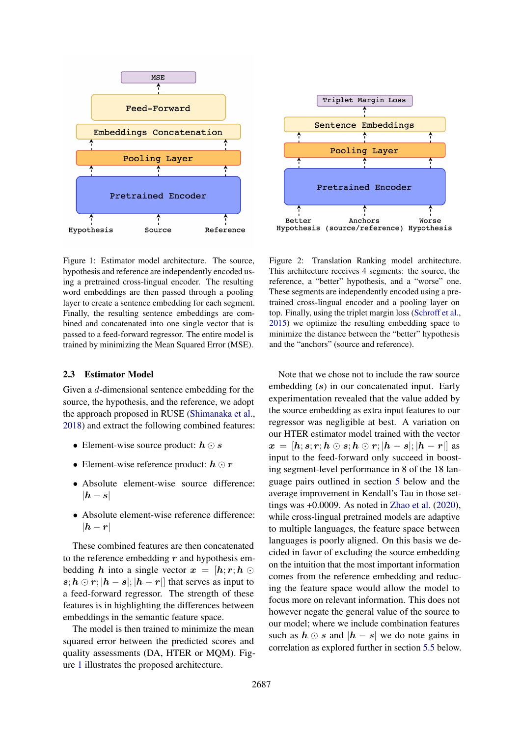<span id="page-2-0"></span>



Figure 1: Estimator model architecture. The source, hypothesis and reference are independently encoded using a pretrained cross-lingual encoder. The resulting word embeddings are then passed through a pooling layer to create a sentence embedding for each segment. Finally, the resulting sentence embeddings are combined and concatenated into one single vector that is passed to a feed-forward regressor. The entire model is trained by minimizing the Mean Squared Error (MSE).

#### <span id="page-2-1"></span>2.3 Estimator Model

Given a d-dimensional sentence embedding for the source, the hypothesis, and the reference, we adopt the approach proposed in RUSE [\(Shimanaka et al.,](#page-10-7) [2018\)](#page-10-7) and extract the following combined features:

- Element-wise source product:  $h \odot s$
- Element-wise reference product:  $h \odot r$
- Absolute element-wise source difference:  $|h - s|$
- Absolute element-wise reference difference:  $|h - r|$

These combined features are then concatenated to the reference embedding  $r$  and hypothesis embedding h into a single vector  $x = [h; r; h]$  $s; h \odot r; |h - s|; |h - r|]$  that serves as input to a feed-forward regressor. The strength of these features is in highlighting the differences between embeddings in the semantic feature space.

The model is then trained to minimize the mean squared error between the predicted scores and quality assessments (DA, HTER or MQM). Figure [1](#page-2-0) illustrates the proposed architecture.

Figure 2: Translation Ranking model architecture. This architecture receives 4 segments: the source, the reference, a "better" hypothesis, and a "worse" one. These segments are independently encoded using a pretrained cross-lingual encoder and a pooling layer on top. Finally, using the triplet margin loss [\(Schroff et al.,](#page-10-6) [2015\)](#page-10-6) we optimize the resulting embedding space to minimize the distance between the "better" hypothesis and the "anchors" (source and reference).

Note that we chose not to include the raw source embedding (s) in our concatenated input. Early experimentation revealed that the value added by the source embedding as extra input features to our regressor was negligible at best. A variation on our HTER estimator model trained with the vector  $x = [h; s; r; h \odot s; h \odot r; |h - s|; |h - r|]$  as input to the feed-forward only succeed in boosting segment-level performance in 8 of the 18 language pairs outlined in section [5](#page-5-0) below and the average improvement in Kendall's Tau in those settings was +0.0009. As noted in [Zhao et al.](#page-11-4) [\(2020\)](#page-11-4), while cross-lingual pretrained models are adaptive to multiple languages, the feature space between languages is poorly aligned. On this basis we decided in favor of excluding the source embedding on the intuition that the most important information comes from the reference embedding and reducing the feature space would allow the model to focus more on relevant information. This does not however negate the general value of the source to our model; where we include combination features such as  $h \odot s$  and  $|h - s|$  we do note gains in correlation as explored further in section [5.5](#page-7-0) below.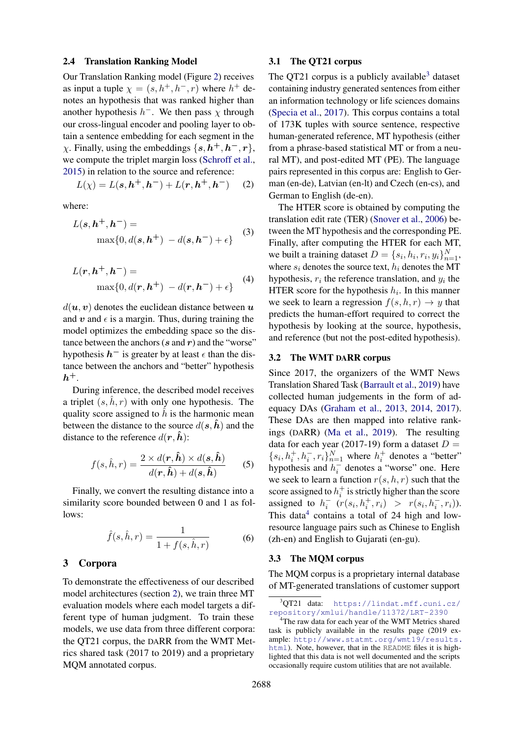#### <span id="page-3-3"></span>2.4 Translation Ranking Model

Our Translation Ranking model (Figure [2\)](#page-2-0) receives as input a tuple  $\chi = (s, h^+, h^-, r)$  where  $h^+$  denotes an hypothesis that was ranked higher than another hypothesis  $h^-$ . We then pass  $\chi$  through our cross-lingual encoder and pooling layer to obtain a sentence embedding for each segment in the  $\chi$ . Finally, using the embeddings  $\{s, h^+, h^-, r\}$ , we compute the triplet margin loss [\(Schroff et al.,](#page-10-6) [2015\)](#page-10-6) in relation to the source and reference:

$$
L(\chi) = L(s, h^{+}, h^{-}) + L(r, h^{+}, h^{-}) \quad (2)
$$

where:

$$
L(s, h+, h-) =
$$
  
\n
$$
\max\{0, d(s, h+) - d(s, h-) + \epsilon\}
$$
\n(3)

$$
L(\mathbf{r}, \mathbf{h}^+, \mathbf{h}^-) =
$$
  

$$
\max\{0, d(\mathbf{r}, \mathbf{h}^+) - d(\mathbf{r}, \mathbf{h}^-) + \epsilon\}
$$
 (4)

 $d(\mathbf{u}, \mathbf{v})$  denotes the euclidean distance between  $\mathbf{u}$ and v and  $\epsilon$  is a margin. Thus, during training the model optimizes the embedding space so the distance between the anchors  $(s \text{ and } r)$  and the "worse" hypothesis  $h^-$  is greater by at least  $\epsilon$  than the distance between the anchors and "better" hypothesis  $h^+$ .

During inference, the described model receives a triplet  $(s, h, r)$  with only one hypothesis. The quality score assigned to  $\hat{h}$  is the harmonic mean between the distance to the source  $d(s, \hat{h})$  and the distance to the reference  $d(\mathbf{r}, \hat{\mathbf{h}})$ :

$$
f(s,\hat{h},r) = \frac{2 \times d(\mathbf{r},\hat{\mathbf{h}}) \times d(\mathbf{s},\hat{\mathbf{h}})}{d(\mathbf{r},\hat{\mathbf{h}}) + d(\mathbf{s},\hat{\mathbf{h}})}\tag{5}
$$

Finally, we convert the resulting distance into a similarity score bounded between 0 and 1 as follows:

$$
\hat{f}(s,\hat{h},r) = \frac{1}{1 + f(s,\hat{h},r)}
$$
(6)

# 3 Corpora

To demonstrate the effectiveness of our described model architectures (section [2\)](#page-1-1), we train three MT evaluation models where each model targets a different type of human judgment. To train these models, we use data from three different corpora: the QT21 corpus, the DARR from the WMT Metrics shared task (2017 to 2019) and a proprietary MQM annotated corpus.

#### <span id="page-3-2"></span>3.1 The QT21 corpus

The QT21 corpus is a publicly available<sup>[3](#page-3-0)</sup> dataset containing industry generated sentences from either an information technology or life sciences domains [\(Specia et al.,](#page-11-5) [2017\)](#page-11-5). This corpus contains a total of 173K tuples with source sentence, respective human-generated reference, MT hypothesis (either from a phrase-based statistical MT or from a neural MT), and post-edited MT (PE). The language pairs represented in this corpus are: English to German (en-de), Latvian (en-lt) and Czech (en-cs), and German to English (de-en).

The HTER score is obtained by computing the translation edit rate (TER) [\(Snover et al.,](#page-11-0) [2006\)](#page-11-0) between the MT hypothesis and the corresponding PE. Finally, after computing the HTER for each MT, we built a training dataset  $D = \{s_i, h_i, r_i, y_i\}_{n=1}^N$ , where  $s_i$  denotes the source text,  $h_i$  denotes the MT hypothesis,  $r_i$  the reference translation, and  $y_i$  the HTER score for the hypothesis  $h_i$ . In this manner we seek to learn a regression  $f(s, h, r) \rightarrow y$  that predicts the human-effort required to correct the hypothesis by looking at the source, hypothesis, and reference (but not the post-edited hypothesis).

# 3.2 The WMT DARR corpus

Since 2017, the organizers of the WMT News Translation Shared Task [\(Barrault et al.,](#page-8-0) [2019\)](#page-8-0) have collected human judgements in the form of adequacy DAs [\(Graham et al.,](#page-9-3) [2013,](#page-9-3) [2014,](#page-9-7) [2017\)](#page-9-8). These DAs are then mapped into relative rankings (DARR) [\(Ma et al.,](#page-10-1) [2019\)](#page-10-1). The resulting data for each year (2017-19) form a dataset  $D =$  $\{s_i, h_i^+, h_i^-, r_i\}_{n=1}^N$  where  $h_i^+$  denotes a "better" hypothesis and  $h_i^-$  denotes a "worse" one. Here we seek to learn a function  $r(s, h, r)$  such that the score assigned to  $h_i^+$  is strictly higher than the score assigned to  $h_i^ (r(s_i, h_i^+, r_i) > r(s_i, h_i^-, r_i)).$ This data $4$  contains a total of 24 high and lowresource language pairs such as Chinese to English (zh-en) and English to Gujarati (en-gu).

# <span id="page-3-4"></span>3.3 The MQM corpus

The MQM corpus is a proprietary internal database of MT-generated translations of customer support

<span id="page-3-0"></span><sup>3</sup>QT21 data: [https://lindat.mff.cuni.cz/](https://lindat.mff.cuni.cz/repository/xmlui/handle/11372/LRT-2390) [repository/xmlui/handle/11372/LRT-2390](https://lindat.mff.cuni.cz/repository/xmlui/handle/11372/LRT-2390)

<span id="page-3-1"></span><sup>&</sup>lt;sup>4</sup>The raw data for each year of the WMT Metrics shared task is publicly available in the results page (2019 example: [http://www.statmt.org/wmt19/results.](http://www.statmt.org/wmt19/results.html) [html](http://www.statmt.org/wmt19/results.html)). Note, however, that in the README files it is highlighted that this data is not well documented and the scripts occasionally require custom utilities that are not available.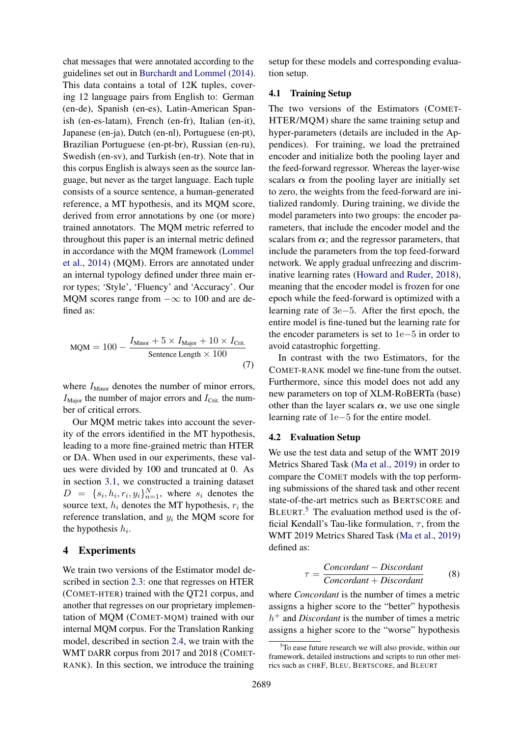chat messages that were annotated according to the guidelines set out in [Burchardt and Lommel](#page-8-4) [\(2014\)](#page-8-4). This data contains a total of 12K tuples, covering 12 language pairs from English to: German (en-de), Spanish (en-es), Latin-American Spanish (en-es-latam), French (en-fr), Italian (en-it), Japanese (en-ja), Dutch (en-nl), Portuguese (en-pt), Brazilian Portuguese (en-pt-br), Russian (en-ru), Swedish (en-sv), and Turkish (en-tr). Note that in this corpus English is always seen as the source language, but never as the target language. Each tuple consists of a source sentence, a human-generated reference, a MT hypothesis, and its MQM score, derived from error annotations by one (or more) trained annotators. The MQM metric referred to throughout this paper is an internal metric defined in accordance with the MQM framework [\(Lommel](#page-9-4) [et al.,](#page-9-4) [2014\)](#page-9-4) (MQM). Errors are annotated under an internal typology defined under three main error types; 'Style', 'Fluency' and 'Accuracy'. Our MQM scores range from  $-\infty$  to 100 and are defined as:

$$
MQM = 100 - \frac{I_{\text{Minor}} + 5 \times I_{\text{Major}} + 10 \times I_{\text{Crit.}}}{\text{Sentence Length} \times 100}
$$
\n(7)

where  $I_{\text{Minor}}$  denotes the number of minor errors,  $I_{\text{Maior}}$  the number of major errors and  $I_{\text{Crit}}$  the number of critical errors.

Our MQM metric takes into account the severity of the errors identified in the MT hypothesis, leading to a more fine-grained metric than HTER or DA. When used in our experiments, these values were divided by 100 and truncated at 0. As in section [3.1,](#page-3-2) we constructed a training dataset  $D = \{s_i, h_i, r_i, y_i\}_{n=1}^N$ , where  $s_i$  denotes the source text,  $h_i$  denotes the MT hypothesis,  $r_i$  the reference translation, and  $y_i$  the MQM score for the hypothesis  $h_i$ .

#### 4 Experiments

We train two versions of the Estimator model described in section [2.3:](#page-2-1) one that regresses on HTER (COMET-HTER) trained with the QT21 corpus, and another that regresses on our proprietary implementation of MQM (COMET-MQM) trained with our internal MQM corpus. For the Translation Ranking model, described in section [2.4,](#page-3-3) we train with the WMT DARR corpus from 2017 and 2018 (COMET-RANK). In this section, we introduce the training

setup for these models and corresponding evaluation setup.

# 4.1 Training Setup

The two versions of the Estimators (COMET-HTER/MQM) share the same training setup and hyper-parameters (details are included in the Appendices). For training, we load the pretrained encoder and initialize both the pooling layer and the feed-forward regressor. Whereas the layer-wise scalars  $\alpha$  from the pooling layer are initially set to zero, the weights from the feed-forward are initialized randomly. During training, we divide the model parameters into two groups: the encoder parameters, that include the encoder model and the scalars from  $\alpha$ ; and the regressor parameters, that include the parameters from the top feed-forward network. We apply gradual unfreezing and discriminative learning rates [\(Howard and Ruder,](#page-9-9) [2018\)](#page-9-9), meaning that the encoder model is frozen for one epoch while the feed-forward is optimized with a learning rate of 3e−5. After the first epoch, the entire model is fine-tuned but the learning rate for the encoder parameters is set to 1e−5 in order to avoid catastrophic forgetting.

In contrast with the two Estimators, for the COMET-RANK model we fine-tune from the outset. Furthermore, since this model does not add any new parameters on top of XLM-RoBERTa (base) other than the layer scalars  $\alpha$ , we use one single learning rate of 1e−5 for the entire model.

#### 4.2 Evaluation Setup

We use the test data and setup of the WMT 2019 Metrics Shared Task [\(Ma et al.,](#page-10-1) [2019\)](#page-10-1) in order to compare the COMET models with the top performing submissions of the shared task and other recent state-of-the-art metrics such as BERTSCORE and BLEURT.<sup>[5](#page-4-0)</sup> The evaluation method used is the official Kendall's Tau-like formulation,  $\tau$ , from the WMT 2019 Metrics Shared Task [\(Ma et al.,](#page-10-1) [2019\)](#page-10-1) defined as:

$$
\tau = \frac{Concordant - Discount}{Concordant + Discount}
$$
 (8)

where *Concordant* is the number of times a metric assigns a higher score to the "better" hypothesis h <sup>+</sup> and *Discordant* is the number of times a metric assigns a higher score to the "worse" hypothesis

<span id="page-4-0"></span> $5T$ o ease future research we will also provide, within our framework, detailed instructions and scripts to run other metrics such as CHRF, BLEU, BERTSCORE, and BLEURT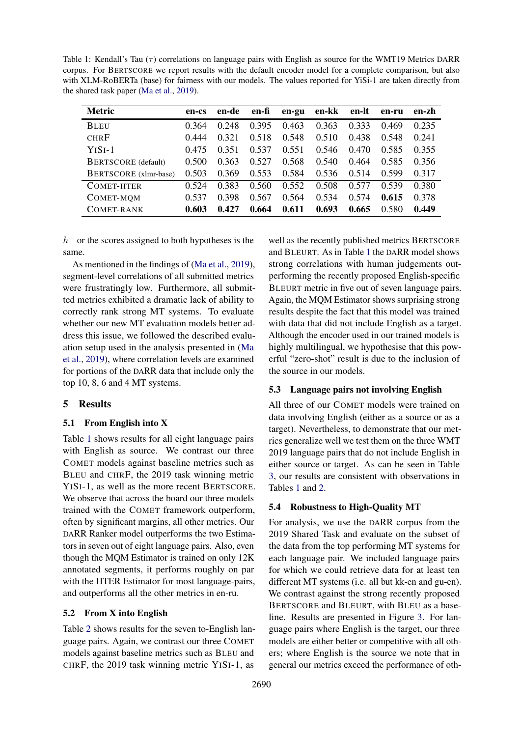<span id="page-5-1"></span>Table 1: Kendall's Tau  $(\tau)$  correlations on language pairs with English as source for the WMT19 Metrics DARR corpus. For BERTSCORE we report results with the default encoder model for a complete comparison, but also with XLM-RoBERTa (base) for fairness with our models. The values reported for YiSi-1 are taken directly from the shared task paper [\(Ma et al.,](#page-10-1) [2019\)](#page-10-1).

| <b>Metric</b>              | en-cs | en-de | en-fi | en-gu | en-kk | en-lt | en-ru | en-zh |
|----------------------------|-------|-------|-------|-------|-------|-------|-------|-------|
| <b>BLEU</b>                | 0.364 | 0.248 | 0.395 | 0.463 | 0.363 | 0.333 | 0.469 | 0.235 |
| <b>CHRF</b>                | 0.444 | 0.321 | 0.518 | 0.548 | 0.510 | 0.438 | 0.548 | 0.241 |
| $YISI-1$                   | 0.475 | 0.351 | 0.537 | 0.551 | 0.546 | 0.470 | 0.585 | 0.355 |
| <b>BERTSCORE</b> (default) | 0.500 | 0.363 | 0.527 | 0.568 | 0.540 | 0.464 | 0.585 | 0.356 |
| BERTSCORE (xlmr-base)      | 0.503 | 0.369 | 0.553 | 0.584 | 0.536 | 0.514 | 0.599 | 0.317 |
| COMET-HTER                 | 0.524 | 0.383 | 0.560 | 0.552 | 0.508 | 0.577 | 0.539 | 0.380 |
| COMET-MQM                  | 0.537 | 0.398 | 0.567 | 0.564 | 0.534 | 0.574 | 0.615 | 0.378 |
| COMET-RANK                 | 0.603 | 0.427 | 0.664 | 0.611 | 0.693 | 0.665 | 0.580 | 0.449 |

 $h^-$  or the scores assigned to both hypotheses is the same.

As mentioned in the findings of [\(Ma et al.,](#page-10-1) [2019\)](#page-10-1), segment-level correlations of all submitted metrics were frustratingly low. Furthermore, all submitted metrics exhibited a dramatic lack of ability to correctly rank strong MT systems. To evaluate whether our new MT evaluation models better address this issue, we followed the described evaluation setup used in the analysis presented in [\(Ma](#page-10-1) [et al.,](#page-10-1) [2019\)](#page-10-1), where correlation levels are examined for portions of the DARR data that include only the top 10, 8, 6 and 4 MT systems.

# <span id="page-5-0"></span>5 Results

# 5.1 From English into X

Table [1](#page-5-1) shows results for all eight language pairs with English as source. We contrast our three COMET models against baseline metrics such as BLEU and CHRF, the 2019 task winning metric YISI-1, as well as the more recent BERTSCORE. We observe that across the board our three models trained with the COMET framework outperform, often by significant margins, all other metrics. Our DARR Ranker model outperforms the two Estimators in seven out of eight language pairs. Also, even though the MQM Estimator is trained on only 12K annotated segments, it performs roughly on par with the HTER Estimator for most language-pairs, and outperforms all the other metrics in en-ru.

#### 5.2 From X into English

Table [2](#page-6-0) shows results for the seven to-English language pairs. Again, we contrast our three COMET models against baseline metrics such as BLEU and CHRF, the 2019 task winning metric YISI-1, as

well as the recently published metrics BERTSCORE and BLEURT. As in Table [1](#page-5-1) the DARR model shows strong correlations with human judgements outperforming the recently proposed English-specific BLEURT metric in five out of seven language pairs. Again, the MQM Estimator shows surprising strong results despite the fact that this model was trained with data that did not include English as a target. Although the encoder used in our trained models is highly multilingual, we hypothesise that this powerful "zero-shot" result is due to the inclusion of the source in our models.

#### 5.3 Language pairs not involving English

All three of our COMET models were trained on data involving English (either as a source or as a target). Nevertheless, to demonstrate that our metrics generalize well we test them on the three WMT 2019 language pairs that do not include English in either source or target. As can be seen in Table [3,](#page-6-1) our results are consistent with observations in Tables [1](#page-5-1) and [2.](#page-6-0)

# 5.4 Robustness to High-Quality MT

For analysis, we use the DARR corpus from the 2019 Shared Task and evaluate on the subset of the data from the top performing MT systems for each language pair. We included language pairs for which we could retrieve data for at least ten different MT systems (i.e. all but kk-en and gu-en). We contrast against the strong recently proposed BERTSCORE and BLEURT, with BLEU as a baseline. Results are presented in Figure [3.](#page-6-2) For language pairs where English is the target, our three models are either better or competitive with all others; where English is the source we note that in general our metrics exceed the performance of oth-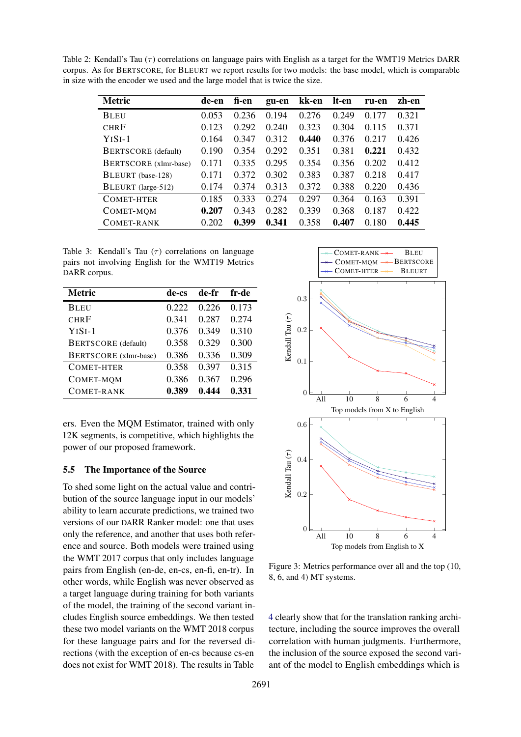<span id="page-6-0"></span>Table 2: Kendall's Tau  $(\tau)$  correlations on language pairs with English as a target for the WMT19 Metrics DARR corpus. As for BERTSCORE, for BLEURT we report results for two models: the base model, which is comparable in size with the encoder we used and the large model that is twice the size.

| <b>Metric</b>                | de-en | fi-en | gu-en | kk-en | lt-en | ru-en | zh-en |
|------------------------------|-------|-------|-------|-------|-------|-------|-------|
| <b>BLEU</b>                  | 0.053 | 0.236 | 0.194 | 0.276 | 0.249 | 0.177 | 0.321 |
| <b>CHRF</b>                  | 0.123 | 0.292 | 0.240 | 0.323 | 0.304 | 0.115 | 0.371 |
| $YISI-1$                     | 0.164 | 0.347 | 0.312 | 0.440 | 0.376 | 0.217 | 0.426 |
| <b>BERTSCORE</b> (default)   | 0.190 | 0.354 | 0.292 | 0.351 | 0.381 | 0.221 | 0.432 |
| <b>BERTSCORE</b> (xlmr-base) | 0.171 | 0.335 | 0.295 | 0.354 | 0.356 | 0.202 | 0.412 |
| BLEURT (base-128)            | 0.171 | 0.372 | 0.302 | 0.383 | 0.387 | 0.218 | 0.417 |
| BLEURT (large-512)           | 0.174 | 0.374 | 0.313 | 0.372 | 0.388 | 0.220 | 0.436 |
| COMET-HTER                   | 0.185 | 0.333 | 0.274 | 0.297 | 0.364 | 0.163 | 0.391 |
| COMET-MQM                    | 0.207 | 0.343 | 0.282 | 0.339 | 0.368 | 0.187 | 0.422 |
| COMET-RANK                   | 0.202 | 0.399 | 0.341 | 0.358 | 0.407 | 0.180 | 0.445 |

<span id="page-6-1"></span>Table 3: Kendall's Tau  $(\tau)$  correlations on language pairs not involving English for the WMT19 Metrics DARR corpus.

| <b>Metric</b>         | de-cs | de-fr | fr-de |
|-----------------------|-------|-------|-------|
| <b>BLEU</b>           | 0.222 | 0.226 | 0.173 |
| <b>CHRF</b>           | 0.341 | 0.287 | 0.274 |
| $YISI-1$              | 0.376 | 0.349 | 0.310 |
| BERTSCORE (default)   | 0.358 | 0.329 | 0.300 |
| BERTSCORE (xlmr-base) | 0.386 | 0.336 | 0.309 |
| <b>COMET-HTER</b>     | 0.358 | 0.397 | 0.315 |
| COMET-MQM             | 0.386 | 0.367 | 0.296 |
| <b>COMET-RANK</b>     | 0.389 | 0.444 | 0.331 |

ers. Even the MQM Estimator, trained with only 12K segments, is competitive, which highlights the power of our proposed framework.

#### 5.5 The Importance of the Source

To shed some light on the actual value and contribution of the source language input in our models' ability to learn accurate predictions, we trained two versions of our DARR Ranker model: one that uses only the reference, and another that uses both reference and source. Both models were trained using the WMT 2017 corpus that only includes language pairs from English (en-de, en-cs, en-fi, en-tr). In other words, while English was never observed as a target language during training for both variants of the model, the training of the second variant includes English source embeddings. We then tested these two model variants on the WMT 2018 corpus for these language pairs and for the reversed directions (with the exception of en-cs because cs-en does not exist for WMT 2018). The results in Table

<span id="page-6-2"></span>

Figure 3: Metrics performance over all and the top (10, 8, 6, and 4) MT systems.

[4](#page-7-0) clearly show that for the translation ranking architecture, including the source improves the overall correlation with human judgments. Furthermore, the inclusion of the source exposed the second variant of the model to English embeddings which is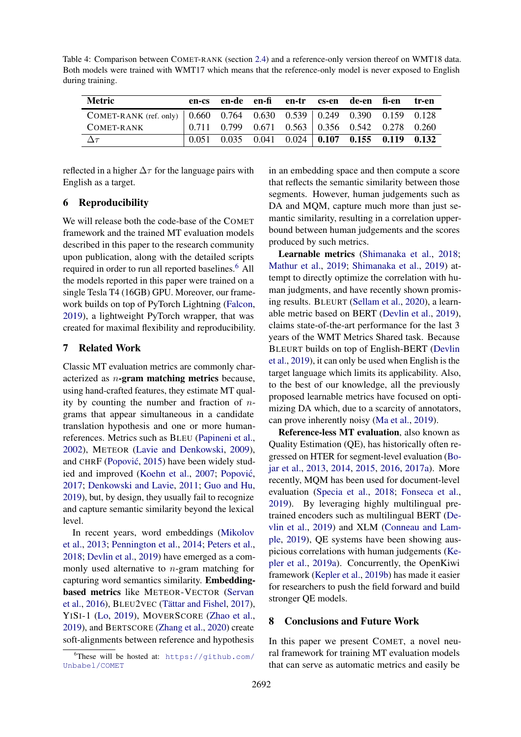<span id="page-7-0"></span>Table 4: Comparison between COMET-RANK (section [2.4\)](#page-3-3) and a reference-only version thereof on WMT18 data. Both models were trained with WMT17 which means that the reference-only model is never exposed to English during training.

| Metric        | en-cs en-de en-fi en-tr cs-en de-en fi-en                              |  |  | tr-en |
|---------------|------------------------------------------------------------------------|--|--|-------|
|               |                                                                        |  |  |       |
| COMET-RANK    | $0.711$ 0.799 0.671 0.563 0.356 0.542 0.278 0.260                      |  |  |       |
| $\Delta \tau$ | $0.051$ $0.035$ $0.041$ $0.024$   <b>0.107</b> $0.155$ $0.119$ $0.132$ |  |  |       |

reflected in a higher  $\Delta \tau$  for the language pairs with English as a target.

# 6 Reproducibility

We will release both the code-base of the COMET framework and the trained MT evaluation models described in this paper to the research community upon publication, along with the detailed scripts required in order to run all reported baselines.<sup>[6](#page-7-1)</sup> All the models reported in this paper were trained on a single Tesla T4 (16GB) GPU. Moreover, our framework builds on top of PyTorch Lightning [\(Falcon,](#page-9-10) [2019\)](#page-9-10), a lightweight PyTorch wrapper, that was created for maximal flexibility and reproducibility.

# 7 Related Work

Classic MT evaluation metrics are commonly characterized as  $n$ -gram matching metrics because, using hand-crafted features, they estimate MT quality by counting the number and fraction of  $n$ grams that appear simultaneous in a candidate translation hypothesis and one or more humanreferences. Metrics such as BLEU [\(Papineni et al.,](#page-10-0) [2002\)](#page-10-0), METEOR [\(Lavie and Denkowski,](#page-9-0) [2009\)](#page-9-0), and CHRF (Popović, [2015\)](#page-10-8) have been widely stud-ied and improved [\(Koehn et al.,](#page-9-11) [2007;](#page-9-11) Popović, [2017;](#page-10-9) [Denkowski and Lavie,](#page-9-12) [2011;](#page-9-12) [Guo and Hu,](#page-9-13) [2019\)](#page-9-13), but, by design, they usually fail to recognize and capture semantic similarity beyond the lexical level.

In recent years, word embeddings [\(Mikolov](#page-10-10) [et al.,](#page-10-10) [2013;](#page-10-10) [Pennington et al.,](#page-10-11) [2014;](#page-10-11) [Peters et al.,](#page-10-4) [2018;](#page-10-4) [Devlin et al.,](#page-9-1) [2019\)](#page-9-1) have emerged as a commonly used alternative to  $n$ -gram matching for capturing word semantics similarity. Embeddingbased metrics like METEOR-VECTOR [\(Servan](#page-10-12) [et al.,](#page-10-12) [2016\)](#page-10-12), BLEU2VEC (Tättar and Fishel, [2017\)](#page-11-6), YISI-1 [\(Lo,](#page-9-14) [2019\)](#page-9-14), MOVERSCORE [\(Zhao et al.,](#page-11-7) [2019\)](#page-11-7), and BERTSCORE [\(Zhang et al.,](#page-11-3) [2020\)](#page-11-3) create soft-alignments between reference and hypothesis

in an embedding space and then compute a score that reflects the semantic similarity between those segments. However, human judgements such as DA and MQM, capture much more than just semantic similarity, resulting in a correlation upperbound between human judgements and the scores produced by such metrics.

Learnable metrics [\(Shimanaka et al.,](#page-10-7) [2018;](#page-10-7) [Mathur et al.,](#page-10-13) [2019;](#page-10-13) [Shimanaka et al.,](#page-10-14) [2019\)](#page-10-14) attempt to directly optimize the correlation with human judgments, and have recently shown promising results. BLEURT [\(Sellam et al.,](#page-10-15) [2020\)](#page-10-15), a learnable metric based on BERT [\(Devlin et al.,](#page-9-1) [2019\)](#page-9-1), claims state-of-the-art performance for the last 3 years of the WMT Metrics Shared task. Because BLEURT builds on top of English-BERT [\(Devlin](#page-9-1) [et al.,](#page-9-1) [2019\)](#page-9-1), it can only be used when English is the target language which limits its applicability. Also, to the best of our knowledge, all the previously proposed learnable metrics have focused on optimizing DA which, due to a scarcity of annotators, can prove inherently noisy [\(Ma et al.,](#page-10-1) [2019\)](#page-10-1).

Reference-less MT evaluation, also known as Quality Estimation (QE), has historically often regressed on HTER for segment-level evaluation [\(Bo](#page-8-5)[jar et al.,](#page-8-5) [2013,](#page-8-5) [2014,](#page-8-6) [2015,](#page-8-7) [2016,](#page-8-8) [2017a\)](#page-8-9). More recently, MQM has been used for document-level evaluation [\(Specia et al.,](#page-11-8) [2018;](#page-11-8) [Fonseca et al.,](#page-9-5) [2019\)](#page-9-5). By leveraging highly multilingual pretrained encoders such as multilingual BERT [\(De](#page-9-1)[vlin et al.,](#page-9-1) [2019\)](#page-9-1) and XLM [\(Conneau and Lam](#page-9-2)[ple,](#page-9-2) [2019\)](#page-9-2), QE systems have been showing auspicious correlations with human judgements [\(Ke](#page-9-15)[pler et al.,](#page-9-15) [2019a\)](#page-9-15). Concurrently, the OpenKiwi framework [\(Kepler et al.,](#page-9-16) [2019b\)](#page-9-16) has made it easier for researchers to push the field forward and build stronger QE models.

#### 8 Conclusions and Future Work

In this paper we present COMET, a novel neural framework for training MT evaluation models that can serve as automatic metrics and easily be

<span id="page-7-1"></span> ${}^{6}$ These will be hosted at: [https://github.com/](https://github.com/Unbabel/COMET) [Unbabel/COMET](https://github.com/Unbabel/COMET)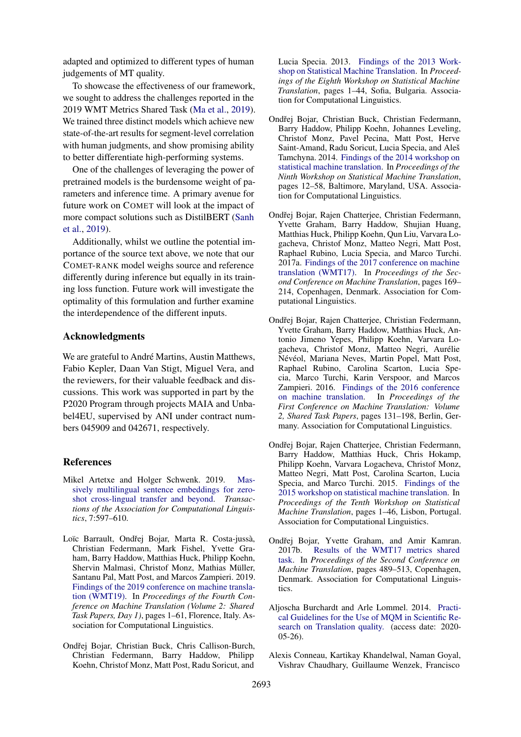adapted and optimized to different types of human judgements of MT quality.

To showcase the effectiveness of our framework, we sought to address the challenges reported in the 2019 WMT Metrics Shared Task [\(Ma et al.,](#page-10-1) [2019\)](#page-10-1). We trained three distinct models which achieve new state-of-the-art results for segment-level correlation with human judgments, and show promising ability to better differentiate high-performing systems.

One of the challenges of leveraging the power of pretrained models is the burdensome weight of parameters and inference time. A primary avenue for future work on COMET will look at the impact of more compact solutions such as DistilBERT [\(Sanh](#page-10-16) [et al.,](#page-10-16) [2019\)](#page-10-16).

Additionally, whilst we outline the potential importance of the source text above, we note that our COMET-RANK model weighs source and reference differently during inference but equally in its training loss function. Future work will investigate the optimality of this formulation and further examine the interdependence of the different inputs.

# Acknowledgments

We are grateful to André Martins, Austin Matthews, Fabio Kepler, Daan Van Stigt, Miguel Vera, and the reviewers, for their valuable feedback and discussions. This work was supported in part by the P2020 Program through projects MAIA and Unbabel4EU, supervised by ANI under contract numbers 045909 and 042671, respectively.

#### References

- <span id="page-8-1"></span>Mikel Artetxe and Holger Schwenk. 2019. [Mas](https://doi.org/10.1162/tacl_a_00288)[sively multilingual sentence embeddings for zero](https://doi.org/10.1162/tacl_a_00288)[shot cross-lingual transfer and beyond.](https://doi.org/10.1162/tacl_a_00288) *Transactions of the Association for Computational Linguistics*, 7:597–610.
- <span id="page-8-0"></span>Loïc Barrault, Ondřej Bojar, Marta R. Costa-jussà, Christian Federmann, Mark Fishel, Yvette Graham, Barry Haddow, Matthias Huck, Philipp Koehn, Shervin Malmasi, Christof Monz, Mathias Müller, Santanu Pal, Matt Post, and Marcos Zampieri. 2019. [Findings of the 2019 conference on machine transla](https://doi.org/10.18653/v1/W19-5301)[tion \(WMT19\).](https://doi.org/10.18653/v1/W19-5301) In *Proceedings of the Fourth Conference on Machine Translation (Volume 2: Shared Task Papers, Day 1)*, pages 1–61, Florence, Italy. Association for Computational Linguistics.
- <span id="page-8-5"></span>Ondřej Bojar, Christian Buck, Chris Callison-Burch, Christian Federmann, Barry Haddow, Philipp Koehn, Christof Monz, Matt Post, Radu Soricut, and

Lucia Specia. 2013. [Findings of the 2013 Work](https://www.aclweb.org/anthology/W13-2201)[shop on Statistical Machine Translation.](https://www.aclweb.org/anthology/W13-2201) In *Proceedings of the Eighth Workshop on Statistical Machine Translation*, pages 1–44, Sofia, Bulgaria. Association for Computational Linguistics.

- <span id="page-8-6"></span>Ondřej Bojar, Christian Buck, Christian Federmann, Barry Haddow, Philipp Koehn, Johannes Leveling, Christof Monz, Pavel Pecina, Matt Post, Herve Saint-Amand, Radu Soricut, Lucia Specia, and Aleš Tamchyna. 2014. [Findings of the 2014 workshop on](https://doi.org/10.3115/v1/W14-3302) [statistical machine translation.](https://doi.org/10.3115/v1/W14-3302) In *Proceedings of the Ninth Workshop on Statistical Machine Translation*, pages 12–58, Baltimore, Maryland, USA. Association for Computational Linguistics.
- <span id="page-8-9"></span>Ondřej Bojar, Rajen Chatterjee, Christian Federmann, Yvette Graham, Barry Haddow, Shujian Huang, Matthias Huck, Philipp Koehn, Qun Liu, Varvara Logacheva, Christof Monz, Matteo Negri, Matt Post, Raphael Rubino, Lucia Specia, and Marco Turchi. 2017a. [Findings of the 2017 conference on machine](https://doi.org/10.18653/v1/W17-4717) [translation \(WMT17\).](https://doi.org/10.18653/v1/W17-4717) In *Proceedings of the Second Conference on Machine Translation*, pages 169– 214, Copenhagen, Denmark. Association for Computational Linguistics.
- <span id="page-8-8"></span>Ondřej Bojar, Rajen Chatterjee, Christian Federmann, Yvette Graham, Barry Haddow, Matthias Huck, Antonio Jimeno Yepes, Philipp Koehn, Varvara Logacheva, Christof Monz, Matteo Negri, Aurelie ´ Névéol, Mariana Neves, Martin Popel, Matt Post, Raphael Rubino, Carolina Scarton, Lucia Specia, Marco Turchi, Karin Verspoor, and Marcos Zampieri. 2016. [Findings of the 2016 conference](https://doi.org/10.18653/v1/W16-2301) [on machine translation.](https://doi.org/10.18653/v1/W16-2301) In *Proceedings of the First Conference on Machine Translation: Volume 2, Shared Task Papers*, pages 131–198, Berlin, Germany. Association for Computational Linguistics.
- <span id="page-8-7"></span>Ondřej Bojar, Rajen Chatterjee, Christian Federmann, Barry Haddow, Matthias Huck, Chris Hokamp, Philipp Koehn, Varvara Logacheva, Christof Monz, Matteo Negri, Matt Post, Carolina Scarton, Lucia Specia, and Marco Turchi. 2015. [Findings of the](https://doi.org/10.18653/v1/W15-3001) [2015 workshop on statistical machine translation.](https://doi.org/10.18653/v1/W15-3001) In *Proceedings of the Tenth Workshop on Statistical Machine Translation*, pages 1–46, Lisbon, Portugal. Association for Computational Linguistics.
- <span id="page-8-3"></span>Ondřej Bojar, Yvette Graham, and Amir Kamran. 2017b. [Results of the WMT17 metrics shared](https://doi.org/10.18653/v1/W17-4755) [task.](https://doi.org/10.18653/v1/W17-4755) In *Proceedings of the Second Conference on Machine Translation*, pages 489–513, Copenhagen, Denmark. Association for Computational Linguistics.
- <span id="page-8-4"></span>Aljoscha Burchardt and Arle Lommel. 2014. [Practi](http://www.qt21.eu/downloads/MQM-usage-guidelines.pdf)[cal Guidelines for the Use of MQM in Scientific Re](http://www.qt21.eu/downloads/MQM-usage-guidelines.pdf)[search on Translation quality.](http://www.qt21.eu/downloads/MQM-usage-guidelines.pdf) (access date: 2020- 05-26).
- <span id="page-8-2"></span>Alexis Conneau, Kartikay Khandelwal, Naman Goyal, Vishrav Chaudhary, Guillaume Wenzek, Francisco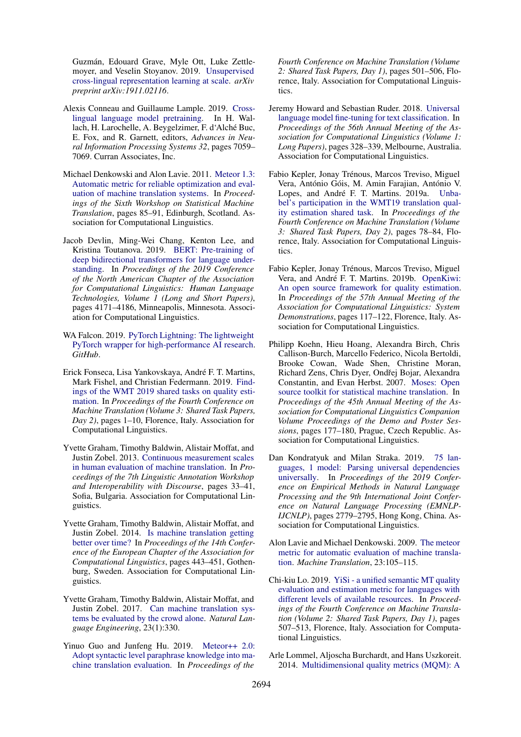Guzmán, Edouard Grave, Myle Ott, Luke Zettlemoyer, and Veselin Stoyanov. 2019. [Unsupervised](https://arxiv.org/abs/1911.02116) [cross-lingual representation learning at scale.](https://arxiv.org/abs/1911.02116) *arXiv preprint arXiv:1911.02116*.

- <span id="page-9-2"></span>Alexis Conneau and Guillaume Lample. 2019. [Cross](http://papers.nips.cc/paper/8928-cross-lingual-language-model-pretraining.pdf)[lingual language model pretraining.](http://papers.nips.cc/paper/8928-cross-lingual-language-model-pretraining.pdf) In H. Wallach, H. Larochelle, A. Beygelzimer, F. d'Alché Buc, E. Fox, and R. Garnett, editors, *Advances in Neural Information Processing Systems 32*, pages 7059– 7069. Curran Associates, Inc.
- <span id="page-9-12"></span>Michael Denkowski and Alon Lavie. 2011. [Meteor 1.3:](https://www.aclweb.org/anthology/W11-2107) [Automatic metric for reliable optimization and eval](https://www.aclweb.org/anthology/W11-2107)[uation of machine translation systems.](https://www.aclweb.org/anthology/W11-2107) In *Proceedings of the Sixth Workshop on Statistical Machine Translation*, pages 85–91, Edinburgh, Scotland. Association for Computational Linguistics.
- <span id="page-9-1"></span>Jacob Devlin, Ming-Wei Chang, Kenton Lee, and Kristina Toutanova. 2019. [BERT: Pre-training of](https://doi.org/10.18653/v1/N19-1423) [deep bidirectional transformers for language under](https://doi.org/10.18653/v1/N19-1423)[standing.](https://doi.org/10.18653/v1/N19-1423) In *Proceedings of the 2019 Conference of the North American Chapter of the Association for Computational Linguistics: Human Language Technologies, Volume 1 (Long and Short Papers)*, pages 4171–4186, Minneapolis, Minnesota. Association for Computational Linguistics.
- <span id="page-9-10"></span>WA Falcon. 2019. [PyTorch Lightning: The lightweight](https://github. com/williamFalcon/pytorch-lightning) [PyTorch wrapper for high-performance AI research.](https://github. com/williamFalcon/pytorch-lightning) *GitHub*.
- <span id="page-9-5"></span>Erick Fonseca, Lisa Yankovskaya, Andre F. T. Martins, ´ Mark Fishel, and Christian Federmann. 2019. [Find](https://doi.org/10.18653/v1/W19-5401)[ings of the WMT 2019 shared tasks on quality esti](https://doi.org/10.18653/v1/W19-5401)[mation.](https://doi.org/10.18653/v1/W19-5401) In *Proceedings of the Fourth Conference on Machine Translation (Volume 3: Shared Task Papers, Day 2)*, pages 1–10, Florence, Italy. Association for Computational Linguistics.
- <span id="page-9-3"></span>Yvette Graham, Timothy Baldwin, Alistair Moffat, and Justin Zobel. 2013. [Continuous measurement scales](https://www.aclweb.org/anthology/W13-2305) [in human evaluation of machine translation.](https://www.aclweb.org/anthology/W13-2305) In *Proceedings of the 7th Linguistic Annotation Workshop and Interoperability with Discourse*, pages 33–41, Sofia, Bulgaria. Association for Computational Linguistics.
- <span id="page-9-7"></span>Yvette Graham, Timothy Baldwin, Alistair Moffat, and Justin Zobel. 2014. [Is machine translation getting](https://doi.org/10.3115/v1/E14-1047) [better over time?](https://doi.org/10.3115/v1/E14-1047) In *Proceedings of the 14th Conference of the European Chapter of the Association for Computational Linguistics*, pages 443–451, Gothenburg, Sweden. Association for Computational Linguistics.
- <span id="page-9-8"></span>Yvette Graham, Timothy Baldwin, Alistair Moffat, and Justin Zobel. 2017. [Can machine translation sys](https://doi.org/10.1017/S1351324915000339)[tems be evaluated by the crowd alone.](https://doi.org/10.1017/S1351324915000339) *Natural Language Engineering*, 23(1):330.
- <span id="page-9-13"></span>Yinuo Guo and Junfeng Hu. 2019. [Meteor++ 2.0:](https://doi.org/10.18653/v1/W19-5357) [Adopt syntactic level paraphrase knowledge into ma](https://doi.org/10.18653/v1/W19-5357)[chine translation evaluation.](https://doi.org/10.18653/v1/W19-5357) In *Proceedings of the*

*Fourth Conference on Machine Translation (Volume 2: Shared Task Papers, Day 1)*, pages 501–506, Florence, Italy. Association for Computational Linguistics.

- <span id="page-9-9"></span>Jeremy Howard and Sebastian Ruder. 2018. [Universal](https://doi.org/10.18653/v1/P18-1031) [language model fine-tuning for text classification.](https://doi.org/10.18653/v1/P18-1031) In *Proceedings of the 56th Annual Meeting of the Association for Computational Linguistics (Volume 1: Long Papers)*, pages 328–339, Melbourne, Australia. Association for Computational Linguistics.
- <span id="page-9-15"></span>Fabio Kepler, Jonay Trénous, Marcos Treviso, Miguel Vera, António Góis, M. Amin Farajian, António V. Lopes, and André F. T. Martins. 2019a. [Unba](https://doi.org/10.18653/v1/W19-5406)[bel's participation in the WMT19 translation qual](https://doi.org/10.18653/v1/W19-5406)[ity estimation shared task.](https://doi.org/10.18653/v1/W19-5406) In *Proceedings of the Fourth Conference on Machine Translation (Volume 3: Shared Task Papers, Day 2)*, pages 78–84, Florence, Italy. Association for Computational Linguistics.
- <span id="page-9-16"></span>Fabio Kepler, Jonay Trénous, Marcos Treviso, Miguel Vera, and André F. T. Martins. 2019b. [OpenKiwi:](https://doi.org/10.18653/v1/P19-3020) [An open source framework for quality estimation.](https://doi.org/10.18653/v1/P19-3020) In *Proceedings of the 57th Annual Meeting of the Association for Computational Linguistics: System Demonstrations*, pages 117–122, Florence, Italy. Association for Computational Linguistics.
- <span id="page-9-11"></span>Philipp Koehn, Hieu Hoang, Alexandra Birch, Chris Callison-Burch, Marcello Federico, Nicola Bertoldi, Brooke Cowan, Wade Shen, Christine Moran, Richard Zens, Chris Dyer, Ondřej Bojar, Alexandra Constantin, and Evan Herbst. 2007. [Moses: Open](https://www.aclweb.org/anthology/P07-2045) [source toolkit for statistical machine translation.](https://www.aclweb.org/anthology/P07-2045) In *Proceedings of the 45th Annual Meeting of the Association for Computational Linguistics Companion Volume Proceedings of the Demo and Poster Sessions*, pages 177–180, Prague, Czech Republic. Association for Computational Linguistics.
- <span id="page-9-6"></span>Dan Kondratyuk and Milan Straka. 2019. [75 lan](https://doi.org/10.18653/v1/D19-1279)[guages, 1 model: Parsing universal dependencies](https://doi.org/10.18653/v1/D19-1279) [universally.](https://doi.org/10.18653/v1/D19-1279) In *Proceedings of the 2019 Conference on Empirical Methods in Natural Language Processing and the 9th International Joint Conference on Natural Language Processing (EMNLP-IJCNLP)*, pages 2779–2795, Hong Kong, China. Association for Computational Linguistics.
- <span id="page-9-0"></span>Alon Lavie and Michael Denkowski. 2009. [The meteor](https://doi.org/10.1007/s10590-009-9059-4) [metric for automatic evaluation of machine transla](https://doi.org/10.1007/s10590-009-9059-4)[tion.](https://doi.org/10.1007/s10590-009-9059-4) *Machine Translation*, 23:105–115.
- <span id="page-9-14"></span>Chi-kiu Lo. 2019. [YiSi - a unified semantic MT quality](https://doi.org/10.18653/v1/W19-5358) [evaluation and estimation metric for languages with](https://doi.org/10.18653/v1/W19-5358) [different levels of available resources.](https://doi.org/10.18653/v1/W19-5358) In *Proceedings of the Fourth Conference on Machine Translation (Volume 2: Shared Task Papers, Day 1)*, pages 507–513, Florence, Italy. Association for Computational Linguistics.
- <span id="page-9-4"></span>Arle Lommel, Aljoscha Burchardt, and Hans Uszkoreit. 2014. [Multidimensional quality metrics \(MQM\): A](https://doi.org/10.5565/rev/tradumatica.77)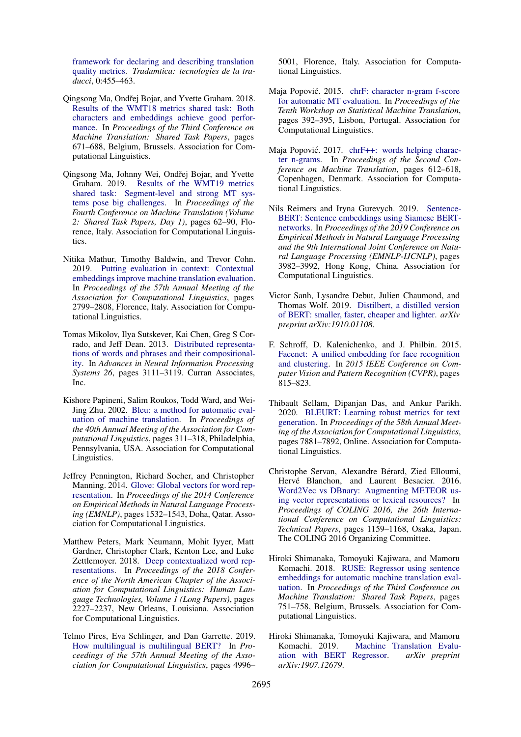[framework for declaring and describing translation](https://doi.org/10.5565/rev/tradumatica.77) [quality metrics.](https://doi.org/10.5565/rev/tradumatica.77) *Tradumtica: tecnologies de la traducci*, 0:455–463.

- <span id="page-10-2"></span>Qingsong Ma, Ondřej Bojar, and Yvette Graham. 2018. [Results of the WMT18 metrics shared task: Both](https://doi.org/10.18653/v1/W18-6450) [characters and embeddings achieve good perfor](https://doi.org/10.18653/v1/W18-6450)[mance.](https://doi.org/10.18653/v1/W18-6450) In *Proceedings of the Third Conference on Machine Translation: Shared Task Papers*, pages 671–688, Belgium, Brussels. Association for Computational Linguistics.
- <span id="page-10-1"></span>Qingsong Ma, Johnny Wei, Ondřej Bojar, and Yvette Graham. 2019. [Results of the WMT19 metrics](https://doi.org/10.18653/v1/W19-5302) [shared task: Segment-level and strong MT sys](https://doi.org/10.18653/v1/W19-5302)[tems pose big challenges.](https://doi.org/10.18653/v1/W19-5302) In *Proceedings of the Fourth Conference on Machine Translation (Volume 2: Shared Task Papers, Day 1)*, pages 62–90, Florence, Italy. Association for Computational Linguistics.
- <span id="page-10-13"></span>Nitika Mathur, Timothy Baldwin, and Trevor Cohn. 2019. [Putting evaluation in context: Contextual](https://doi.org/10.18653/v1/P19-1269) [embeddings improve machine translation evaluation.](https://doi.org/10.18653/v1/P19-1269) In *Proceedings of the 57th Annual Meeting of the Association for Computational Linguistics*, pages 2799–2808, Florence, Italy. Association for Computational Linguistics.
- <span id="page-10-10"></span>Tomas Mikolov, Ilya Sutskever, Kai Chen, Greg S Corrado, and Jeff Dean. 2013. [Distributed representa](http://papers.nips.cc/paper/5021-distributed-representations-of-words-and-phrases-and-their-compositionality.pdf)[tions of words and phrases and their compositional](http://papers.nips.cc/paper/5021-distributed-representations-of-words-and-phrases-and-their-compositionality.pdf)[ity.](http://papers.nips.cc/paper/5021-distributed-representations-of-words-and-phrases-and-their-compositionality.pdf) In *Advances in Neural Information Processing Systems 26*, pages 3111–3119. Curran Associates, Inc.
- <span id="page-10-0"></span>Kishore Papineni, Salim Roukos, Todd Ward, and Wei-Jing Zhu. 2002. [Bleu: a method for automatic eval](https://doi.org/10.3115/1073083.1073135)[uation of machine translation.](https://doi.org/10.3115/1073083.1073135) In *Proceedings of the 40th Annual Meeting of the Association for Computational Linguistics*, pages 311–318, Philadelphia, Pennsylvania, USA. Association for Computational Linguistics.
- <span id="page-10-11"></span>Jeffrey Pennington, Richard Socher, and Christopher Manning. 2014. [Glove: Global vectors for word rep](https://doi.org/10.3115/v1/D14-1162)[resentation.](https://doi.org/10.3115/v1/D14-1162) In *Proceedings of the 2014 Conference on Empirical Methods in Natural Language Processing (EMNLP)*, pages 1532–1543, Doha, Qatar. Association for Computational Linguistics.
- <span id="page-10-4"></span>Matthew Peters, Mark Neumann, Mohit Iyyer, Matt Gardner, Christopher Clark, Kenton Lee, and Luke Zettlemoyer. 2018. [Deep contextualized word rep](https://doi.org/10.18653/v1/N18-1202)[resentations.](https://doi.org/10.18653/v1/N18-1202) In *Proceedings of the 2018 Conference of the North American Chapter of the Association for Computational Linguistics: Human Language Technologies, Volume 1 (Long Papers)*, pages 2227–2237, New Orleans, Louisiana. Association for Computational Linguistics.
- <span id="page-10-3"></span>Telmo Pires, Eva Schlinger, and Dan Garrette. 2019. [How multilingual is multilingual BERT?](https://doi.org/10.18653/v1/P19-1493) In *Proceedings of the 57th Annual Meeting of the Association for Computational Linguistics*, pages 4996–

5001, Florence, Italy. Association for Computational Linguistics.

- <span id="page-10-8"></span>Maja Popović. 2015. [chrF: character n-gram f-score](https://doi.org/10.18653/v1/W15-3049) [for automatic MT evaluation.](https://doi.org/10.18653/v1/W15-3049) In *Proceedings of the Tenth Workshop on Statistical Machine Translation*, pages 392–395, Lisbon, Portugal. Association for Computational Linguistics.
- <span id="page-10-9"></span>Maja Popović. 2017. [chrF++: words helping charac](https://doi.org/10.18653/v1/W17-4770)[ter n-grams.](https://doi.org/10.18653/v1/W17-4770) In *Proceedings of the Second Conference on Machine Translation*, pages 612–618, Copenhagen, Denmark. Association for Computational Linguistics.
- <span id="page-10-5"></span>Nils Reimers and Iryna Gurevych. 2019. [Sentence-](https://doi.org/10.18653/v1/D19-1410)[BERT: Sentence embeddings using Siamese BERT](https://doi.org/10.18653/v1/D19-1410)[networks.](https://doi.org/10.18653/v1/D19-1410) In *Proceedings of the 2019 Conference on Empirical Methods in Natural Language Processing and the 9th International Joint Conference on Natural Language Processing (EMNLP-IJCNLP)*, pages 3982–3992, Hong Kong, China. Association for Computational Linguistics.
- <span id="page-10-16"></span>Victor Sanh, Lysandre Debut, Julien Chaumond, and Thomas Wolf. 2019. [Distilbert, a distilled version](https://arxiv.org/abs/1910.01108) [of BERT: smaller, faster, cheaper and lighter.](https://arxiv.org/abs/1910.01108) *arXiv preprint arXiv:1910.01108*.
- <span id="page-10-6"></span>F. Schroff, D. Kalenichenko, and J. Philbin. 2015. [Facenet: A unified embedding for face recognition](https://ieeexplore.ieee.org/document/7298682) [and clustering.](https://ieeexplore.ieee.org/document/7298682) In *2015 IEEE Conference on Computer Vision and Pattern Recognition (CVPR)*, pages 815–823.
- <span id="page-10-15"></span>Thibault Sellam, Dipanjan Das, and Ankur Parikh. 2020. [BLEURT: Learning robust metrics for text](https://doi.org/10.18653/v1/2020.acl-main.704) [generation.](https://doi.org/10.18653/v1/2020.acl-main.704) In *Proceedings of the 58th Annual Meeting of the Association for Computational Linguistics*, pages 7881–7892, Online. Association for Computational Linguistics.
- <span id="page-10-12"></span>Christophe Servan, Alexandre Bérard, Zied Elloumi, Hervé Blanchon, and Laurent Besacier. 2016. [Word2Vec vs DBnary: Augmenting METEOR us](https://www.aclweb.org/anthology/C16-1110)[ing vector representations or lexical resources?](https://www.aclweb.org/anthology/C16-1110) In *Proceedings of COLING 2016, the 26th International Conference on Computational Linguistics: Technical Papers*, pages 1159–1168, Osaka, Japan. The COLING 2016 Organizing Committee.
- <span id="page-10-7"></span>Hiroki Shimanaka, Tomoyuki Kajiwara, and Mamoru Komachi. 2018. [RUSE: Regressor using sentence](https://doi.org/10.18653/v1/W18-6456) [embeddings for automatic machine translation eval](https://doi.org/10.18653/v1/W18-6456)[uation.](https://doi.org/10.18653/v1/W18-6456) In *Proceedings of the Third Conference on Machine Translation: Shared Task Papers*, pages 751–758, Belgium, Brussels. Association for Computational Linguistics.
- <span id="page-10-14"></span>Hiroki Shimanaka, Tomoyuki Kajiwara, and Mamoru Komachi. 2019. [Machine Translation Evalu](https://arxiv.org/abs/1907.12679)[ation with BERT Regressor.](https://arxiv.org/abs/1907.12679) *arXiv preprint arXiv:1907.12679*.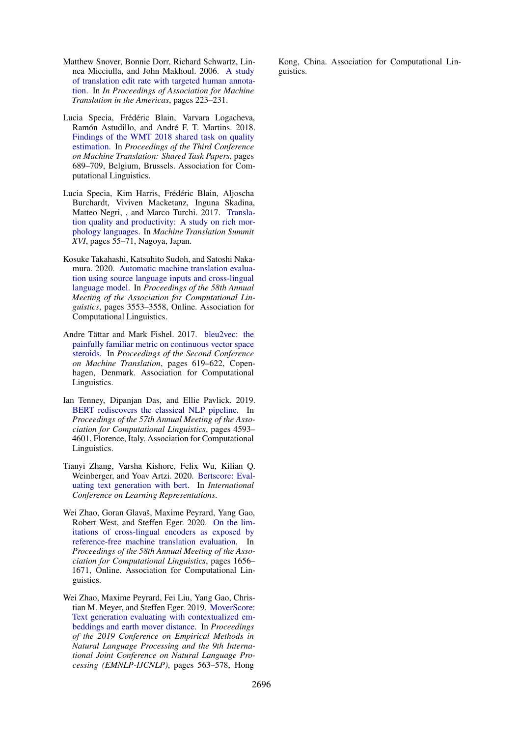- <span id="page-11-0"></span>Matthew Snover, Bonnie Dorr, Richard Schwartz, Linnea Micciulla, and John Makhoul. 2006. [A study](https://www.cs.umd.edu/~snover/pub/amta06/ter_amta.pdf) [of translation edit rate with targeted human annota](https://www.cs.umd.edu/~snover/pub/amta06/ter_amta.pdf)[tion.](https://www.cs.umd.edu/~snover/pub/amta06/ter_amta.pdf) In *In Proceedings of Association for Machine Translation in the Americas*, pages 223–231.
- <span id="page-11-8"></span>Lucia Specia, Frédéric Blain, Varvara Logacheva, Ramón Astudillo, and André F. T. Martins. 2018. [Findings of the WMT 2018 shared task on quality](https://doi.org/10.18653/v1/W18-6451) [estimation.](https://doi.org/10.18653/v1/W18-6451) In *Proceedings of the Third Conference on Machine Translation: Shared Task Papers*, pages 689–709, Belgium, Brussels. Association for Computational Linguistics.
- <span id="page-11-5"></span>Lucia Specia, Kim Harris, Frédéric Blain, Aljoscha Burchardt, Viviven Macketanz, Inguna Skadina, Matteo Negri, , and Marco Turchi. 2017. [Transla](https://www.dfki.de/lt/publication_show.php?id=9490)[tion quality and productivity: A study on rich mor](https://www.dfki.de/lt/publication_show.php?id=9490)[phology languages.](https://www.dfki.de/lt/publication_show.php?id=9490) In *Machine Translation Summit XVI*, pages 55–71, Nagoya, Japan.
- <span id="page-11-1"></span>Kosuke Takahashi, Katsuhito Sudoh, and Satoshi Nakamura. 2020. [Automatic machine translation evalua](https://doi.org/10.18653/v1/2020.acl-main.327)[tion using source language inputs and cross-lingual](https://doi.org/10.18653/v1/2020.acl-main.327) [language model.](https://doi.org/10.18653/v1/2020.acl-main.327) In *Proceedings of the 58th Annual Meeting of the Association for Computational Linguistics*, pages 3553–3558, Online. Association for Computational Linguistics.
- <span id="page-11-6"></span>Andre Tättar and Mark Fishel. 2017. [bleu2vec: the](https://doi.org/10.18653/v1/W17-4771) [painfully familiar metric on continuous vector space](https://doi.org/10.18653/v1/W17-4771) [steroids.](https://doi.org/10.18653/v1/W17-4771) In *Proceedings of the Second Conference on Machine Translation*, pages 619–622, Copenhagen, Denmark. Association for Computational Linguistics.
- <span id="page-11-2"></span>Ian Tenney, Dipanjan Das, and Ellie Pavlick. 2019. [BERT rediscovers the classical NLP pipeline.](https://doi.org/10.18653/v1/P19-1452) In *Proceedings of the 57th Annual Meeting of the Association for Computational Linguistics*, pages 4593– 4601, Florence, Italy. Association for Computational Linguistics.
- <span id="page-11-3"></span>Tianyi Zhang, Varsha Kishore, Felix Wu, Kilian Q. Weinberger, and Yoav Artzi. 2020. [Bertscore: Eval](https://openreview.net/forum?id=SkeHuCVFDr)[uating text generation with bert.](https://openreview.net/forum?id=SkeHuCVFDr) In *International Conference on Learning Representations*.
- <span id="page-11-4"></span>Wei Zhao, Goran Glavaš, Maxime Peyrard, Yang Gao, Robert West, and Steffen Eger. 2020. [On the lim](https://doi.org/10.18653/v1/2020.acl-main.151)[itations of cross-lingual encoders as exposed by](https://doi.org/10.18653/v1/2020.acl-main.151) [reference-free machine translation evaluation.](https://doi.org/10.18653/v1/2020.acl-main.151) In *Proceedings of the 58th Annual Meeting of the Association for Computational Linguistics*, pages 1656– 1671, Online. Association for Computational Linguistics.
- <span id="page-11-7"></span>Wei Zhao, Maxime Peyrard, Fei Liu, Yang Gao, Christian M. Meyer, and Steffen Eger. 2019. [MoverScore:](https://doi.org/10.18653/v1/D19-1053) [Text generation evaluating with contextualized em](https://doi.org/10.18653/v1/D19-1053)[beddings and earth mover distance.](https://doi.org/10.18653/v1/D19-1053) In *Proceedings of the 2019 Conference on Empirical Methods in Natural Language Processing and the 9th International Joint Conference on Natural Language Processing (EMNLP-IJCNLP)*, pages 563–578, Hong

Kong, China. Association for Computational Linguistics.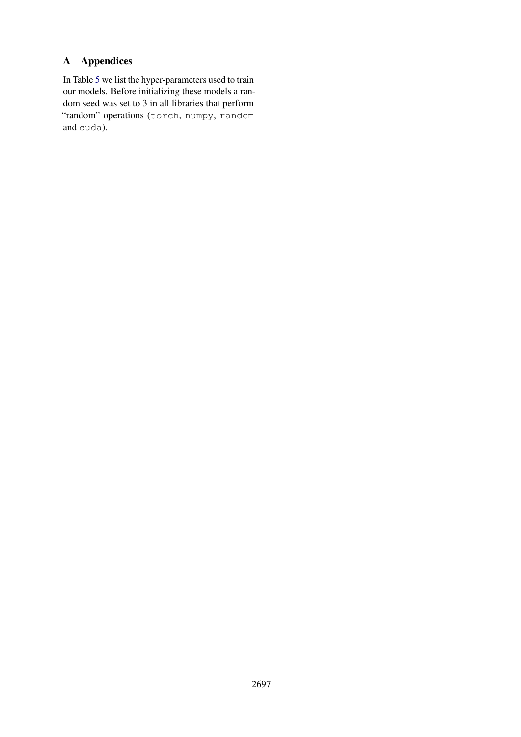# A Appendices

In Table [5](#page-13-0) we list the hyper-parameters used to train our models. Before initializing these models a random seed was set to 3 in all libraries that perform "random" operations (torch, numpy, random and cuda).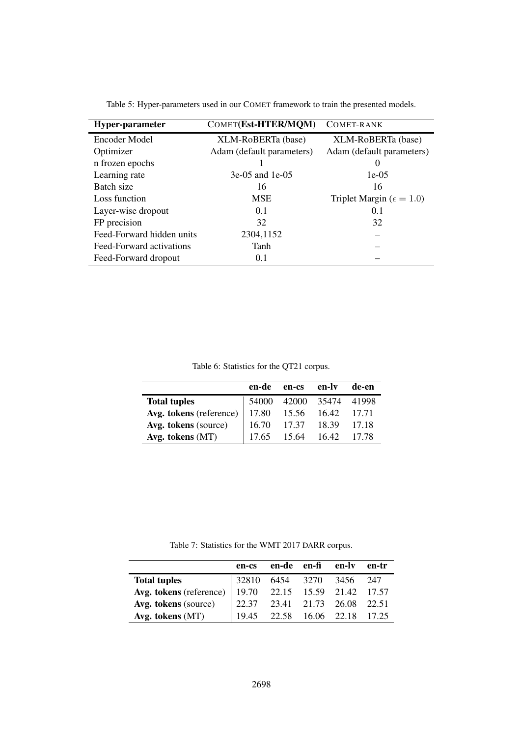<span id="page-13-0"></span>

| Hyper-parameter           | COMET(Est-HTER/MQM)       | COMET-RANK                          |
|---------------------------|---------------------------|-------------------------------------|
| Encoder Model             | XLM-RoBERTa (base)        | XLM-RoBERTa (base)                  |
| Optimizer                 | Adam (default parameters) | Adam (default parameters)           |
| n frozen epochs           |                           | O                                   |
| Learning rate             | $3e-05$ and 1e-05         | $1e-0.5$                            |
| Batch size                | 16                        | 16                                  |
| Loss function             | <b>MSE</b>                | Triplet Margin ( $\epsilon = 1.0$ ) |
| Layer-wise dropout        | 0.1                       | 0.1                                 |
| FP precision              | 32                        | 32                                  |
| Feed-Forward hidden units | 2304,1152                 |                                     |
| Feed-Forward activations  | Tanh                      |                                     |
| Feed-Forward dropout      | 0.1                       |                                     |

Table 5: Hyper-parameters used in our COMET framework to train the presented models.

Table 6: Statistics for the QT21 corpus.

|                         | en-de | en-cs       | en-ly | de-en |
|-------------------------|-------|-------------|-------|-------|
| <b>Total tuples</b>     | 54000 | 42000 35474 |       | 41998 |
| Avg. tokens (reference) | 17.80 | 15.56       | 16.42 | 17.71 |
| Avg. tokens (source)    | 16.70 | 17.37       | 18.39 | 17.18 |
| Avg. tokens $(MT)$      | 17.65 | 15.64       | 16.42 | 17.78 |

Table 7: Statistics for the WMT 2017 DARR corpus.

|                                                       | en-cs                                                                      | en-de en-fi | en-ly en-tr             |  |
|-------------------------------------------------------|----------------------------------------------------------------------------|-------------|-------------------------|--|
| <b>Total tuples</b>                                   | 32810 6454 3270 3456 247                                                   |             |                         |  |
| Avg. tokens (reference) 19.70 22.15 15.59 21.42 17.57 |                                                                            |             |                         |  |
| Avg. tokens (source)                                  | $\begin{array}{cccc} \n22.37 & 23.41 & 21.73 & 26.08 & 22.51\n\end{array}$ |             |                         |  |
| Avg. tokens (MT)                                      | 19.45                                                                      |             | 22.58 16.06 22.18 17.25 |  |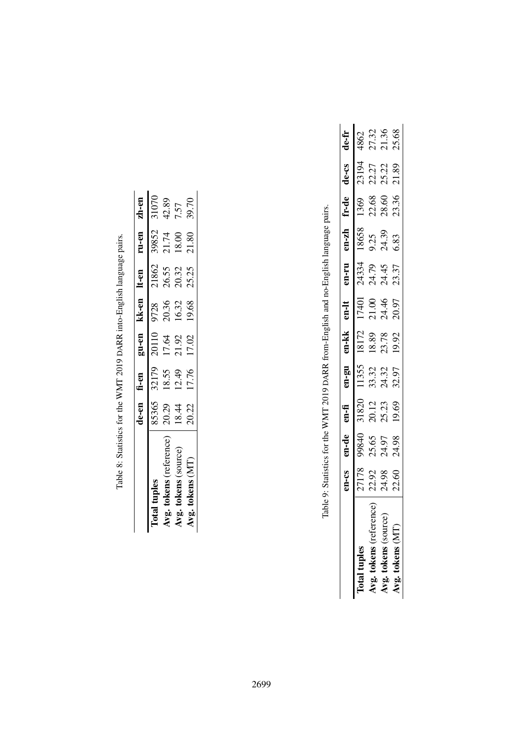|                        | le-en fi-en |       | gu-en          | kk-en lt-en |       | ru-en | zh-en |
|------------------------|-------------|-------|----------------|-------------|-------|-------|-------|
| otal tuple             | 85365       | 32179 | 20110          | 9728        | 21862 | 39852 | 31070 |
| Avg. tokens (reference | 20.29       | 18.55 |                | 20.36       | 26.55 | 21.74 | 42.89 |
| Avg. tokens (source)   | 18.44       | 12.49 | 17.64<br>21.92 | 16.32       | 20.32 | 18.00 | 7.57  |
| Avg. tokens (MT)       | 20.22       | 17.76 | 17.02          | 19.68       | 25.25 | 21.80 | 39.70 |

Table 8: Statistics for the WMT 2019 DARR into-English language pairs. Table 8: Statistics for the WMT 2019 DARR into-English language pairs.

Table 9: Statistics for the WMT 2019 DARR from-English and no-English language pairs. Table 9: Statistics for the WMT 2019 DARR from-English and no-English language pairs.

|                              | 23-U.          | en-de          | $m - fi$       | ns-ue                   | en-kk                   | $m-lt$                           | ור-מ                           | $en-zh$               | fr-de                   | de-cs                   | de-fr                  |
|------------------------------|----------------|----------------|----------------|-------------------------|-------------------------|----------------------------------|--------------------------------|-----------------------|-------------------------|-------------------------|------------------------|
| fotal tuples                 | 27178          | 07866          | 31820          | 11355                   | 18172                   |                                  |                                | 18658                 | 1369                    |                         |                        |
| စ္ပ<br>Avg. tokens (referenc |                | 25.65<br>24.97 |                |                         |                         | 17401<br>21.00<br>24.46<br>20.97 | 333<br>23.35<br>23.37<br>24.37 |                       |                         | 23194<br>22.27<br>25.22 | 4862<br>27.32<br>21.36 |
| $\chi$ g. tokens (source)    | 22.92<br>24.98 |                | 20.12<br>25.23 | 33.32<br>24.32<br>32.97 | 18.89<br>23.78<br>19.92 |                                  |                                | 9.25<br>24.39<br>6.83 | 22.68<br>28.60<br>23.36 |                         |                        |
| $\log$ , tokens (MT)         | 22.60          | 24.98          | 19.69          |                         |                         |                                  |                                |                       |                         | 21.89                   | 25.68                  |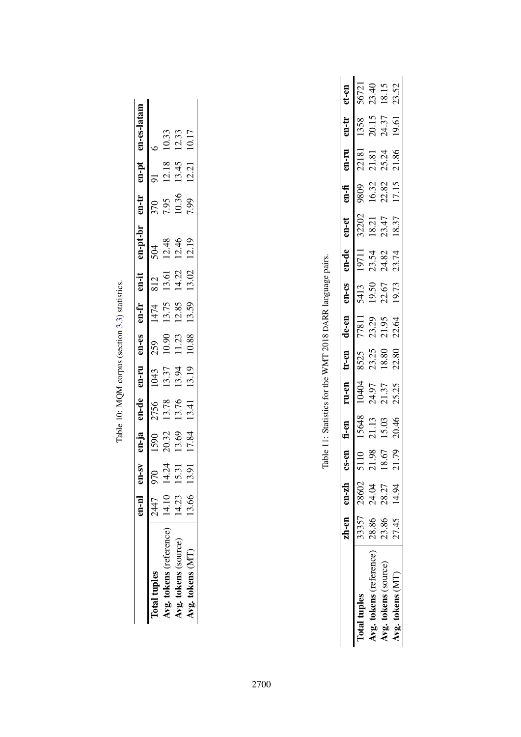|                         | $n - n$ | en-sv          | $en-ja$ | en-de | en-ru | en-es        | en-fr                  | en-it | n-pt-br | $en-tr$ | $en$ -pt | en-es-latam |
|-------------------------|---------|----------------|---------|-------|-------|--------------|------------------------|-------|---------|---------|----------|-------------|
| fotal tuples            | 2447    | 0 <sub>L</sub> | 1590    | 2756  | 1043  |              |                        | 812   | 504     | 370     |          |             |
| Avg. tokens (reference) | 14.10   | 14.24          | 20.32   | 13.78 | 13.37 | 259<br>10.90 | 1474<br>13.75<br>12.85 | 13.61 | 12.48   | 7.95    | 12.18    | 10.33       |
| Avg. tokens (source)    | 14.23   | 15.31          | 13.69   | 13.76 | 13.94 | 11.23        |                        | 14.22 | 12.46   | 10.36   | 13.45    | 12.33       |
| $\log$ , tokens $(MT)$  | 3.66    | 13.91          | 17.84   | 13.41 | 13.19 | 10.88        | 13.59                  | 13.02 | 12.19   | 7.99    | 12.21    | 10.17       |
|                         |         |                |         |       |       |              |                        |       |         |         |          |             |

Table 10: MQM corpus (section 3.3) statistics. Table 10: MQM corpus (section [3.3\)](#page-3-4) statistics.

Table 11: Statistics for the WMT 2018 DARR language pairs. Table 11: Statistics for the WMT 2018 DARR language pairs.

|                         |       | zh-en en-zh cs- | g.                   | fi-en | n-en:          | $r$ -en | de-en | en-cs                  | $en-de$                 | $en$ -et       | en-fi         | uu-ua | u-tr           | et-en                   |
|-------------------------|-------|-----------------|----------------------|-------|----------------|---------|-------|------------------------|-------------------------|----------------|---------------|-------|----------------|-------------------------|
| fotal tuples            |       | 33357 28602     | 5110                 | 15648 | <b>FORD</b>    | 8525    | 77811 |                        |                         | 32202          |               | 22181 | 1358           |                         |
| Avg. tokens (reference) | 28.86 | 24.04           | 98<br>$\overline{c}$ | 21.13 |                | 23.25   | 23.29 | 5413<br>19.50<br>22.67 | 19711<br>23.54<br>24.82 |                | 9809<br>16.32 | 21.81 |                | 56721<br>23.40<br>18.15 |
| Avg. tokens (source)    | 23.86 | 28.27           | 5.67                 | 15.03 | 24.97<br>21.37 | 18.80   | 21.95 |                        |                         | 18.21<br>23.47 | 22.82         | 25.24 | 20.15<br>24.37 |                         |
| $Ng.$ tokens $(MT)$     |       | 27.45 14.94     | 79                   | 20.46 | 25.25          | 22.80   | 22.64 | 19.73                  | 23.74                   | 18.37          | 17.15         | 21.86 | 19.61          | 23.52                   |
|                         |       |                 |                      |       |                |         |       |                        |                         |                |               |       |                |                         |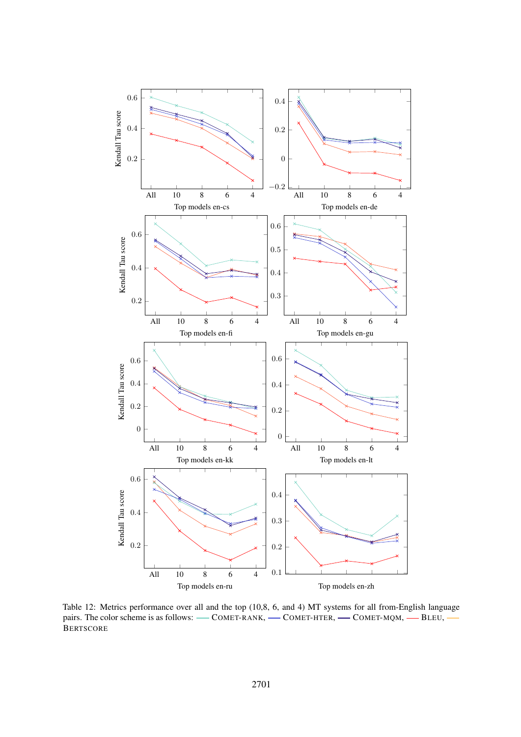

Table 12: Metrics performance over all and the top (10,8, 6, and 4) MT systems for all from-English language pairs. The color scheme is as follows: — COMET-RANK, — COMET-HTER, — COMET-MQM, — BLEU, **BERTSCORE**